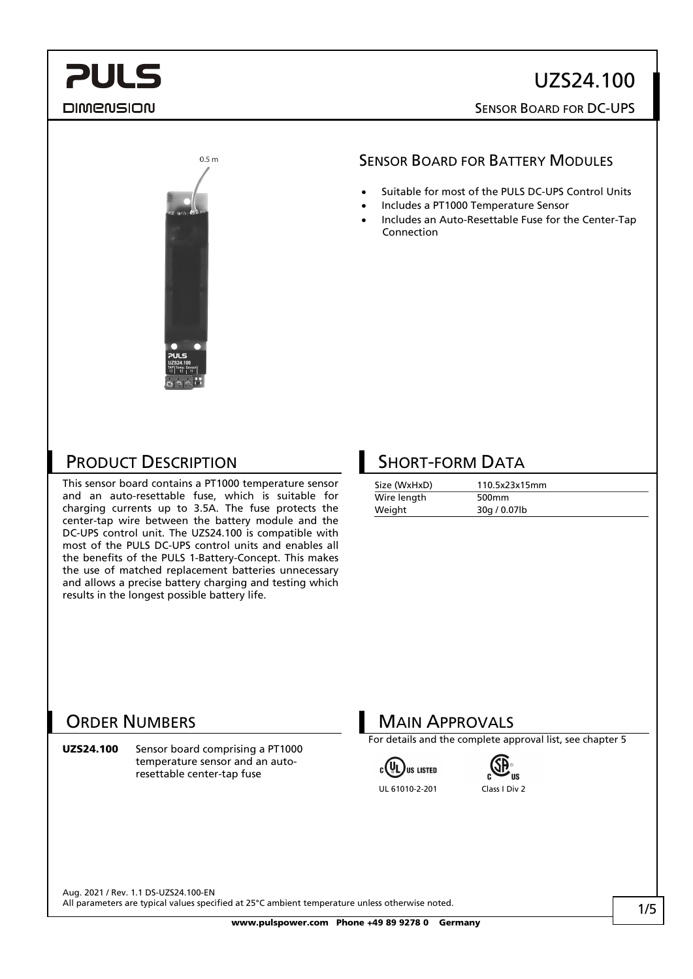# **PULS DIMENSION**



#### SENSOR BOARD FOR BATTERY MODULES

- Suitable for most of the PULS DC-UPS Control Units
- Includes a PT1000 Temperature Sensor
- Includes an Auto-Resettable Fuse for the Center-Tap Connection

#### PRODUCT DESCRIPTION

This sensor board contains a PT1000 temperature sensor and an auto-resettable fuse, which is suitable for charging currents up to 3.5A. The fuse protects the center-tap wire between the battery module and the DC-UPS control unit. The UZS24.100 is compatible with most of the PULS DC-UPS control units and enables all the benefits of the PULS 1-Battery-Concept. This makes the use of matched replacement batteries unnecessary and allows a precise battery charging and testing which results in the longest possible battery life.

#### SHORT-FORM DATA

| Size (WxHxD) | 110.5x23x15mm     |
|--------------|-------------------|
| Wire length  | 500 <sub>mm</sub> |
| Weight       | 30g / 0.07lb      |

#### ORDER NUMBERS

UZS24.100 Sensor board comprising a PT1000 temperature sensor and an autoresettable center-tap fuse

#### MAIN APPROVALS

For details and the complete approval list, see chapter 5





Aug. 2021 / Rev. 1.1 DS-UZS24.100-EN All parameters are typical values specified at 25°C ambient temperature unless otherwise noted.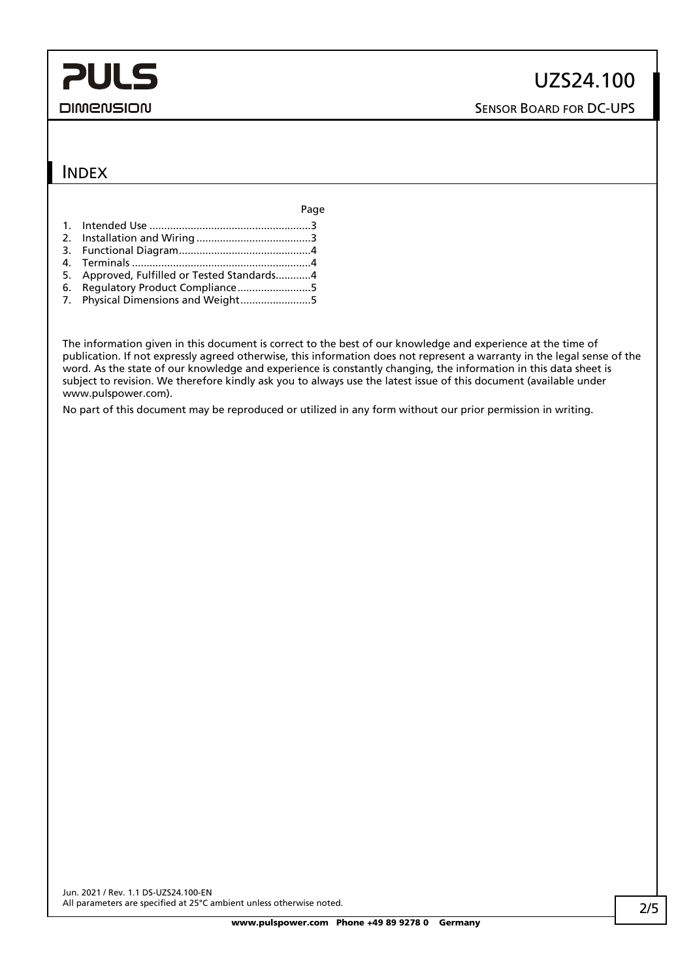# **PULS**

#### **DIMENSION**

#### **INDEX**

|                                             | Page |
|---------------------------------------------|------|
|                                             |      |
|                                             |      |
|                                             |      |
|                                             |      |
| 5. Approved, Fulfilled or Tested Standards4 |      |
|                                             |      |
| 7. Physical Dimensions and Weight5          |      |

The information given in this document is correct to the best of our knowledge and experience at the time of publication. If not expressly agreed otherwise, this information does not represent a warranty in the legal sense of the word. As the state of our knowledge and experience is constantly changing, the information in this data sheet is subject to revision. We therefore kindly ask you to always use the latest issue of this document (available under www.pulspower.com).

No part of this document may be reproduced or utilized in any form without our prior permission in writing.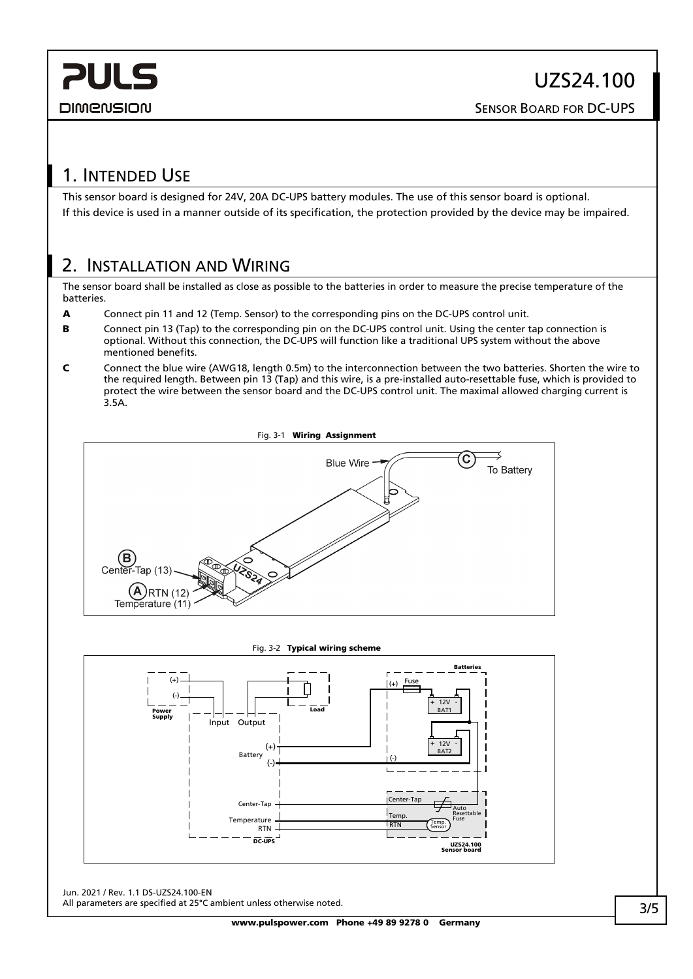#### <span id="page-2-0"></span>1. INTENDED USE

This sensor board is designed for 24V, 20A DC-UPS battery modules. The use of this sensor board is optional. If this device is used in a manner outside of its specification, the protection provided by the device may be impaired.

#### <span id="page-2-1"></span>2. INSTALLATION AND WIRING

The sensor board shall be installed as close as possible to the batteries in order to measure the precise temperature of the batteries.

- A Connect pin 11 and 12 (Temp. Sensor) to the corresponding pins on the DC-UPS control unit.
- B Connect pin 13 (Tap) to the corresponding pin on the DC-UPS control unit. Using the center tap connection is optional. Without this connection, the DC-UPS will function like a traditional UPS system without the above mentioned benefits.
- C Connect the blue wire (AWG18, length 0.5m) to the interconnection between the two batteries. Shorten the wire to the required length. Between pin 13 (Tap) and this wire, is a pre-installed auto-resettable fuse, which is provided to protect the wire between the sensor board and the DC-UPS control unit. The maximal allowed charging current is 3.5A.





Jun. 2021 / Rev. 1.1 DS-UZS24.100-EN All parameters are specified at 25°C ambient unless otherwise noted.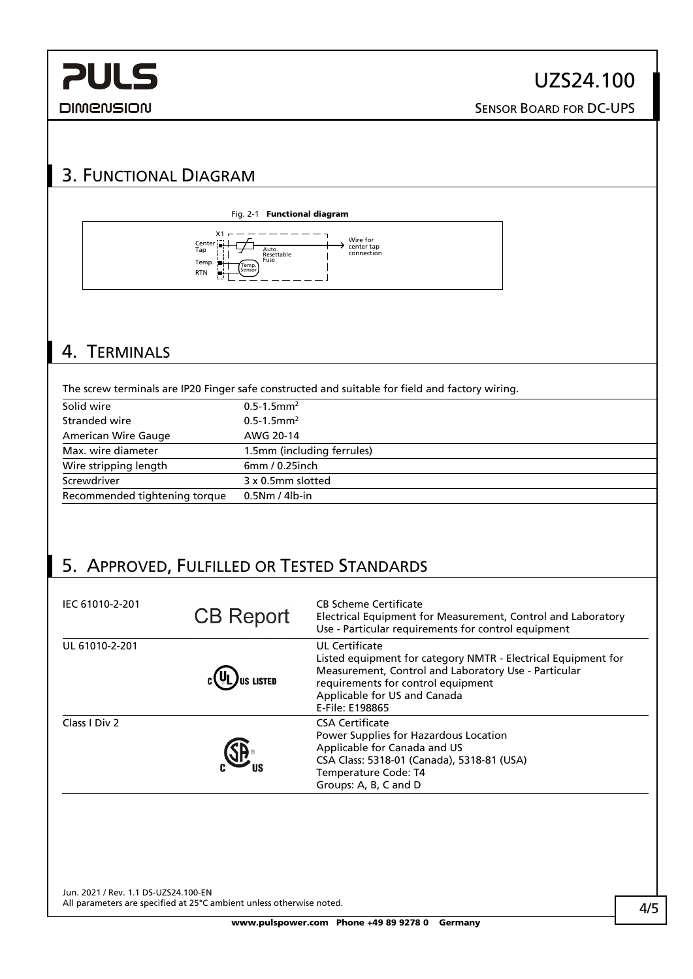

SENSOR BOARD FOR DC-UPS

# <span id="page-3-0"></span>3. FUNCTIONAL DIAGRAM

#### Fig. 2-1 Functional diagram



### <span id="page-3-1"></span>4. TERMINALS

The screw terminals are IP20 Finger safe constructed and suitable for field and factory wiring.

| Solid wire                    | $0.5 - 1.5$ mm <sup>2</sup> |  |
|-------------------------------|-----------------------------|--|
| Stranded wire                 | $0.5 - 1.5$ mm <sup>2</sup> |  |
| American Wire Gauge           | AWG 20-14                   |  |
| Max. wire diameter            | 1.5mm (including ferrules)  |  |
| Wire stripping length         | $6mm/0.25$ inch             |  |
| Screwdriver                   | 3 x 0.5mm slotted           |  |
| Recommended tightening torque | $0.5$ Nm / 4lb-in           |  |
|                               |                             |  |

# <span id="page-3-2"></span>5. APPROVED, FULFILLED OR TESTED STANDARDS

| IEC 61010-2-201 | <b>CB Report</b> | <b>CB Scheme Certificate</b><br>Electrical Equipment for Measurement, Control and Laboratory<br>Use - Particular requirements for control equipment                                                                                     |
|-----------------|------------------|-----------------------------------------------------------------------------------------------------------------------------------------------------------------------------------------------------------------------------------------|
| UL 61010-2-201  | US LISTED        | <b>UL</b> Certificate<br>Listed equipment for category NMTR - Electrical Equipment for<br>Measurement, Control and Laboratory Use - Particular<br>requirements for control equipment<br>Applicable for US and Canada<br>E-File: E198865 |
| Class I Div 2   |                  | <b>CSA Certificate</b><br>Power Supplies for Hazardous Location<br>Applicable for Canada and US<br>CSA Class: 5318-01 (Canada), 5318-81 (USA)<br>Temperature Code: T4<br>Groups: A, B, C and D                                          |

Jun. 2021 / Rev. 1.1 DS-UZS24.100-EN All parameters are specified at 25°C ambient unless otherwise noted.